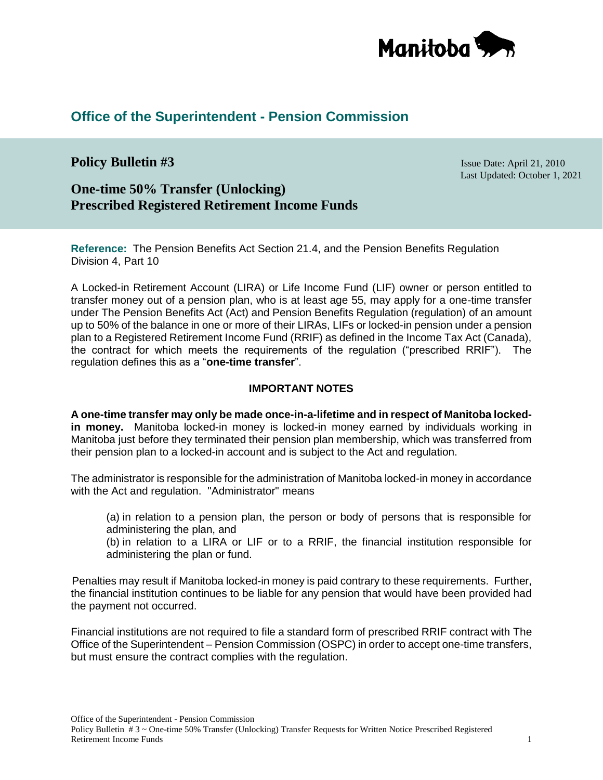

# **Office of the Superintendent - Pension Commission**

# **Policy Bulletin #3** Issue Date: April 21, 2010

Last Updated: October 1, 2021

# **One-time 50% Transfer (Unlocking) Prescribed Registered Retirement Income Funds**

**Reference:** The Pension Benefits Act Section 21.4, and the Pension Benefits Regulation Division 4, Part 10

A Locked-in Retirement Account (LIRA) or Life Income Fund (LIF) owner or person entitled to transfer money out of a pension plan, who is at least age 55, may apply for a one-time transfer under The Pension Benefits Act (Act) and Pension Benefits Regulation (regulation) of an amount up to 50% of the balance in one or more of their LIRAs, LIFs or locked-in pension under a pension plan to a Registered Retirement Income Fund (RRIF) as defined in the Income Tax Act (Canada), the contract for which meets the requirements of the regulation ("prescribed RRIF"). The regulation defines this as a "**one-time transfer**".

#### **IMPORTANT NOTES**

**A one-time transfer may only be made once-in-a-lifetime and in respect of Manitoba lockedin money.** Manitoba locked-in money is locked-in money earned by individuals working in Manitoba just before they terminated their pension plan membership, which was transferred from their pension plan to a locked-in account and is subject to the Act and regulation.

The administrator is responsible for the administration of Manitoba locked-in money in accordance with the Act and regulation. "Administrator" means

(a) in relation to a pension plan, the person or body of persons that is responsible for administering the plan, and

(b) in relation to a LIRA or LIF or to a RRIF, the financial institution responsible for administering the plan or fund.

Penalties may result if Manitoba locked-in money is paid contrary to these requirements. Further, the financial institution continues to be liable for any pension that would have been provided had the payment not occurred.

Financial institutions are not required to file a standard form of prescribed RRIF contract with The Office of the Superintendent – Pension Commission (OSPC) in order to accept one-time transfers, but must ensure the contract complies with the regulation.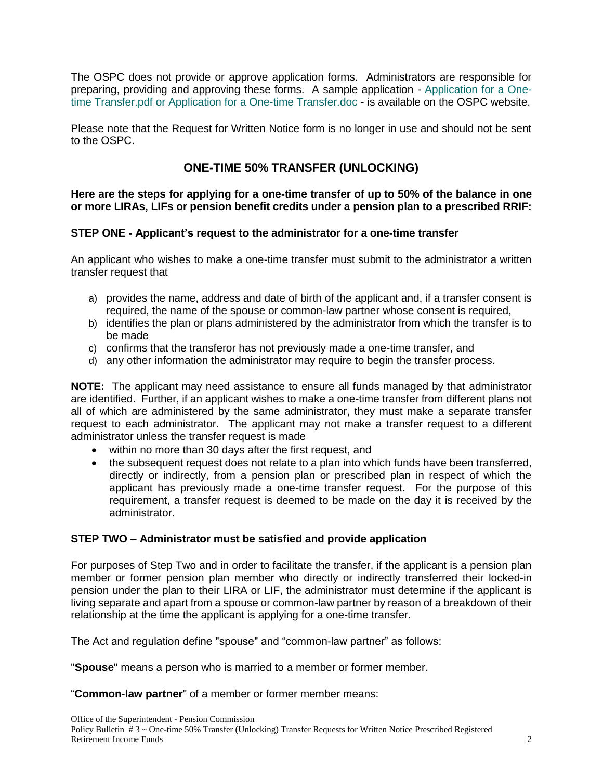The OSPC does not provide or approve application forms. Administrators are responsible for preparing, providing and approving these forms. A sample application - [Application for a One](https://gov.mb.ca/finance/pension/pdf/sample_onetimetransferapp.pdf)[time Transfer.pdf](https://gov.mb.ca/finance/pension/pdf/sample_onetimetransferapp.pdf) or [Application for a One-time Transfer.doc](https://gov.mb.ca/finance/pension/pdf/sample_onetimetransferapp.docx) - is available on the OSPC website.

Please note that the Request for Written Notice form is no longer in use and should not be sent to the OSPC.

## **ONE-TIME 50% TRANSFER (UNLOCKING)**

**Here are the steps for applying for a one-time transfer of up to 50% of the balance in one or more LIRAs, LIFs or pension benefit credits under a pension plan to a prescribed RRIF:**

### **STEP ONE - Applicant's request to the administrator for a one-time transfer**

An applicant who wishes to make a one-time transfer must submit to the administrator a written transfer request that

- a) provides the name, address and date of birth of the applicant and, if a transfer consent is required, the name of the spouse or common-law partner whose consent is required,
- b) identifies the plan or plans administered by the administrator from which the transfer is to be made
- c) confirms that the transferor has not previously made a one-time transfer, and
- d) any other information the administrator may require to begin the transfer process.

**NOTE:** The applicant may need assistance to ensure all funds managed by that administrator are identified. Further, if an applicant wishes to make a one-time transfer from different plans not all of which are administered by the same administrator, they must make a separate transfer request to each administrator. The applicant may not make a transfer request to a different administrator unless the transfer request is made

- within no more than 30 days after the first request, and
- the subsequent request does not relate to a plan into which funds have been transferred, directly or indirectly, from a pension plan or prescribed plan in respect of which the applicant has previously made a one-time transfer request. For the purpose of this requirement, a transfer request is deemed to be made on the day it is received by the administrator.

### **STEP TWO – Administrator must be satisfied and provide application**

For purposes of Step Two and in order to facilitate the transfer, if the applicant is a pension plan member or former pension plan member who directly or indirectly transferred their locked-in pension under the plan to their LIRA or LIF, the administrator must determine if the applicant is living separate and apart from a spouse or common-law partner by reason of a breakdown of their relationship at the time the applicant is applying for a one-time transfer.

The Act and regulation define "spouse" and "common-law partner" as follows:

"**Spouse**" means a person who is married to a member or former member.

"**Common-law partner**" of a member or former member means: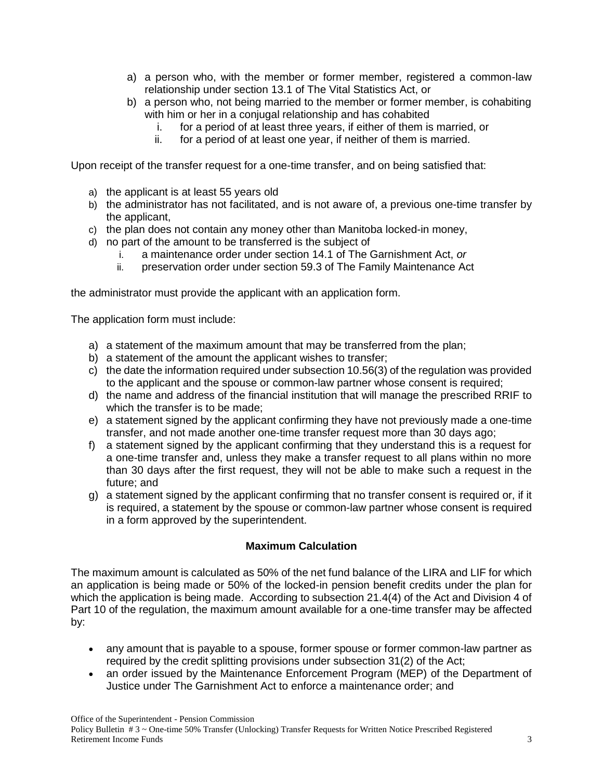- a) a person who, with the member or former member, registered a common-law relationship under section 13.1 of The Vital Statistics Act, or
- b) a person who, not being married to the member or former member, is cohabiting with him or her in a conjugal relationship and has cohabited
	- i. for a period of at least three years, if either of them is married, or
	- ii. for a period of at least one year, if neither of them is married.

Upon receipt of the transfer request for a one-time transfer, and on being satisfied that:

- a) the applicant is at least 55 years old
- b) the administrator has not facilitated, and is not aware of, a previous one-time transfer by the applicant,
- c) the plan does not contain any money other than Manitoba locked-in money,
- d) no part of the amount to be transferred is the subject of
	- i. a maintenance order under section 14.1 of The Garnishment Act, *or*
	- ii. preservation order under section 59.3 of The Family Maintenance Act

the administrator must provide the applicant with an application form.

The application form must include:

- a) a statement of the maximum amount that may be transferred from the plan;
- b) a statement of the amount the applicant wishes to transfer;
- c) the date the information required under subsection 10.56(3) of the regulation was provided to the applicant and the spouse or common-law partner whose consent is required;
- d) the name and address of the financial institution that will manage the prescribed RRIF to which the transfer is to be made;
- e) a statement signed by the applicant confirming they have not previously made a one-time transfer, and not made another one-time transfer request more than 30 days ago;
- f) a statement signed by the applicant confirming that they understand this is a request for a one-time transfer and, unless they make a transfer request to all plans within no more than 30 days after the first request, they will not be able to make such a request in the future; and
- g) a statement signed by the applicant confirming that no transfer consent is required or, if it is required, a statement by the spouse or common-law partner whose consent is required in a form approved by the superintendent.

### **Maximum Calculation**

The maximum amount is calculated as 50% of the net fund balance of the LIRA and LIF for which an application is being made or 50% of the locked-in pension benefit credits under the plan for which the application is being made. According to subsection 21.4(4) of the Act and Division 4 of Part 10 of the regulation, the maximum amount available for a one-time transfer may be affected by:

- any amount that is payable to a spouse, former spouse or former common-law partner as required by the credit splitting provisions under subsection 31(2) of the Act;
- an order issued by the Maintenance Enforcement Program (MEP) of the Department of Justice under The Garnishment Act to enforce a maintenance order; and

Office of the Superintendent - Pension Commission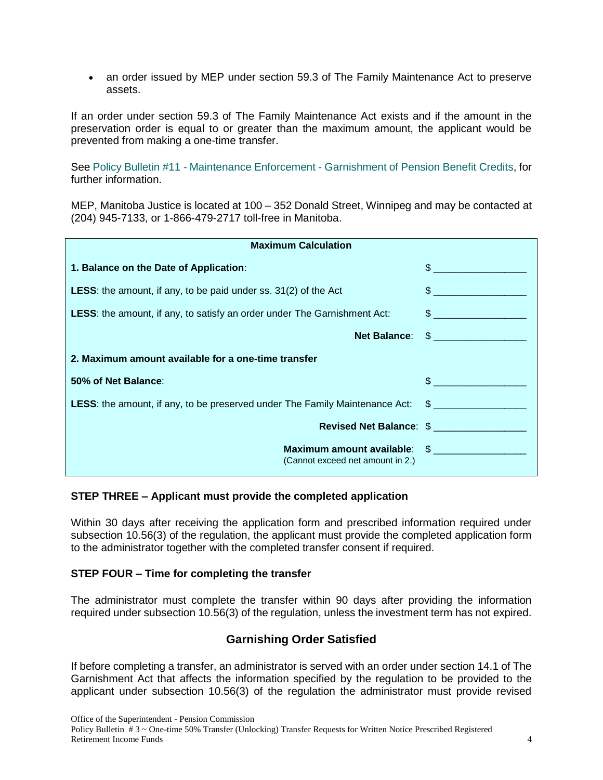an order issued by MEP under section 59.3 of The Family Maintenance Act to preserve assets.

If an order under section 59.3 of The Family Maintenance Act exists and if the amount in the preservation order is equal to or greater than the maximum amount, the applicant would be prevented from making a one-time transfer.

See Policy Bulletin #11 - Maintenance Enforcement - [Garnishment of Pension Benefit Credits,](https://www.gov.mb.ca/finance/pension/pdf/bulletin11.pdf) for further information.

MEP, Manitoba Justice is located at 100 – 352 Donald Street, Winnipeg and may be contacted at (204) 945-7133, or 1-866-479-2717 toll-free in Manitoba.

| <b>Maximum Calculation</b>                                                                      |                                                                  |                                                                                                                                                                                                                                |
|-------------------------------------------------------------------------------------------------|------------------------------------------------------------------|--------------------------------------------------------------------------------------------------------------------------------------------------------------------------------------------------------------------------------|
| 1. Balance on the Date of Application:                                                          |                                                                  |                                                                                                                                                                                                                                |
| <b>LESS:</b> the amount, if any, to be paid under ss. 31(2) of the Act                          |                                                                  | $\frac{1}{2}$                                                                                                                                                                                                                  |
| <b>LESS:</b> the amount, if any, to satisfy an order under The Garnishment Act:                 |                                                                  |                                                                                                                                                                                                                                |
|                                                                                                 |                                                                  | Net Balance: \$                                                                                                                                                                                                                |
| 2. Maximum amount available for a one-time transfer                                             |                                                                  |                                                                                                                                                                                                                                |
| 50% of Net Balance:                                                                             |                                                                  | $\sim$ 5 and 5 and 6 and 6 and 6 and 6 and 6 and 6 and 6 and 6 and 6 and 6 and 6 and 6 and 6 and 6 and 6 and 6 and 6 and 6 and 6 and 6 and 6 and 6 and 6 and 6 and 6 and 6 and 6 and 6 and 6 and 6 and 6 and 6 and 6 and 6 and |
| LESS: the amount, if any, to be preserved under The Family Maintenance Act: \$ ________________ |                                                                  |                                                                                                                                                                                                                                |
|                                                                                                 | Revised Net Balance: \$                                          |                                                                                                                                                                                                                                |
|                                                                                                 | Maximum amount available: \$<br>(Cannot exceed net amount in 2.) |                                                                                                                                                                                                                                |

### **STEP THREE – Applicant must provide the completed application**

Within 30 days after receiving the application form and prescribed information required under subsection 10.56(3) of the regulation, the applicant must provide the completed application form to the administrator together with the completed transfer consent if required.

#### **STEP FOUR – Time for completing the transfer**

The administrator must complete the transfer within 90 days after providing the information required under subsection 10.56(3) of the regulation, unless the investment term has not expired.

### **Garnishing Order Satisfied**

If before completing a transfer, an administrator is served with an order under section 14.1 of The Garnishment Act that affects the information specified by the regulation to be provided to the applicant under subsection 10.56(3) of the regulation the administrator must provide revised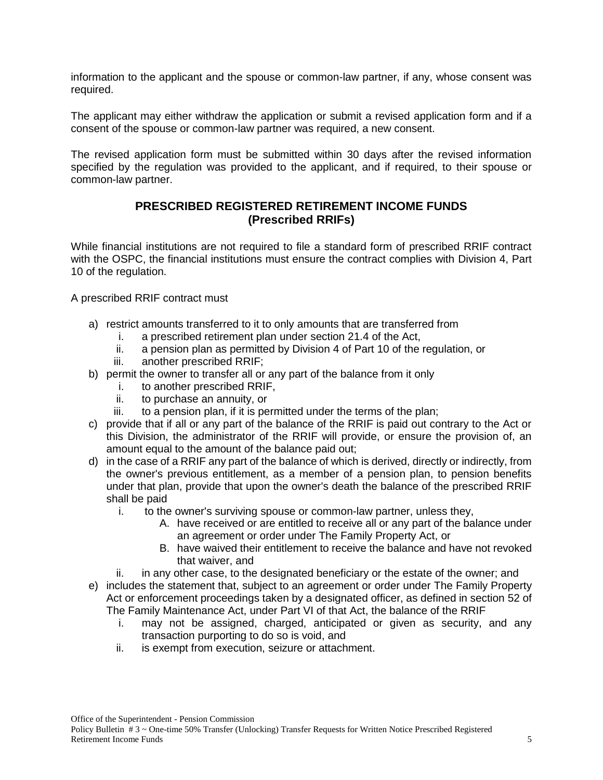information to the applicant and the spouse or common-law partner, if any, whose consent was required.

The applicant may either withdraw the application or submit a revised application form and if a consent of the spouse or common-law partner was required, a new consent.

The revised application form must be submitted within 30 days after the revised information specified by the regulation was provided to the applicant, and if required, to their spouse or common-law partner.

### **PRESCRIBED REGISTERED RETIREMENT INCOME FUNDS (Prescribed RRIFs)**

While financial institutions are not required to file a standard form of prescribed RRIF contract with the OSPC, the financial institutions must ensure the contract complies with Division 4, Part 10 of the regulation.

A prescribed RRIF contract must

- a) restrict amounts transferred to it to only amounts that are transferred from
	- i. a prescribed retirement plan under section 21.4 of the Act,
	- ii. a pension plan as permitted by Division 4 of Part 10 of the regulation, or
	- iii. another prescribed RRIF;
- b) permit the owner to transfer all or any part of the balance from it only
	- i. to another prescribed RRIF,
	- ii. to purchase an annuity, or
	- iii. to a pension plan, if it is permitted under the terms of the plan;
- c) provide that if all or any part of the balance of the RRIF is paid out contrary to the Act or this Division, the administrator of the RRIF will provide, or ensure the provision of, an amount equal to the amount of the balance paid out;
- d) in the case of a RRIF any part of the balance of which is derived, directly or indirectly, from the owner's previous entitlement, as a member of a pension plan, to pension benefits under that plan, provide that upon the owner's death the balance of the prescribed RRIF shall be paid
	- i. to the owner's surviving spouse or common-law partner, unless they,
		- A. have received or are entitled to receive all or any part of the balance under an agreement or order under The Family Property Act, or
		- B. have waived their entitlement to receive the balance and have not revoked that waiver, and
	- ii. in any other case, to the designated beneficiary or the estate of the owner; and
- e) includes the statement that, subject to an agreement or order under The Family Property Act or enforcement proceedings taken by a designated officer, as defined in section 52 of The Family Maintenance Act, under Part VI of that Act, the balance of the RRIF
	- i. may not be assigned, charged, anticipated or given as security, and any transaction purporting to do so is void, and
	- ii. is exempt from execution, seizure or attachment.